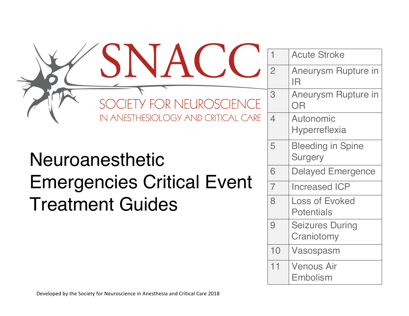| SOCIETY FOR NEUROSCIENCE<br>IN ANESTHESIOLOGY AND CRITICAL CARE |  |  |
|-----------------------------------------------------------------|--|--|
|                                                                 |  |  |
| Neuroanesthetic                                                 |  |  |
| <b>Emergencies Critical Event</b><br><b>Treatment Guides</b>    |  |  |

SNACC

1 Acute Stroke 2 Aneurysm Rupture in IR 3 Aneurysm Rupture in OR **Autonomic** Hyperreflexia 5 Bleeding in Spine **Surgery** Delayed Emergence Increased ICP Loss of Evoked **Potentials** 9 Seizures During **Craniotomy** 10 Vasospasm 11 Venous Air Embolism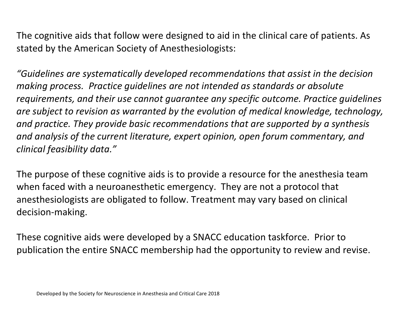The cognitive aids that follow were designed to aid in the clinical care of patients. As stated by the American Society of Anesthesiologists:

*"Guidelines are systematically developed recommendations that assist in the decision making process. Practice quidelines are not intended as standards or absolute requirements, and their use cannot quarantee any specific outcome. Practice quidelines* are subject to revision as warranted by the evolution of medical knowledge, technology, and practice. They provide basic recommendations that are supported by a synthesis and analysis of the current literature, expert opinion, open forum commentary, and *clinical feasibility data."*

The purpose of these cognitive aids is to provide a resource for the anesthesia team when faced with a neuroanesthetic emergency. They are not a protocol that anesthesiologists are obligated to follow. Treatment may vary based on clinical decision-making.

These cognitive aids were developed by a SNACC education taskforce. Prior to publication the entire SNACC membership had the opportunity to review and revise.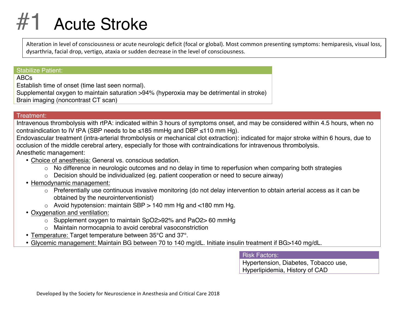### **Acute Stroke**

Alteration in level of consciousness or acute neurologic deficit (focal or global). Most common presenting symptoms: hemiparesis, visual loss, dysarthria, facial drop, vertigo, ataxia or sudden decrease in the level of consciousness.

#### Stabilize Patient:

ABCs

Establish time of onset (time last seen normal).

Supplemental oxygen to maintain saturation >94% (hyperoxia may be detrimental in stroke) Brain imaging (noncontrast CT scan)

#### Treatment:

Intravenous thrombolysis with rtPA: indicated within 3 hours of symptoms onset, and may be considered within 4.5 hours, when no contraindication to IV tPA (SBP needs to be ≤185 mmHg and DBP ≤110 mm Hg).

Endovascular treatment (intra-arterial thrombolysis or mechanical clot extraction): indicated for major stroke within 6 hours, due to occlusion of the middle cerebral artery, especially for those with contraindications for intravenous thrombolysis. Anesthetic management:

- Choice of anesthesia: General vs. conscious sedation.
	- o No difference in neurologic outcomes and no delay in time to reperfusion when comparing both strategies
	- o Decision should be individualized (eg. patient cooperation or need to secure airway)
- Hemodynamic management:
	- o Preferentially use continuous invasive monitoring (do not delay intervention to obtain arterial access as it can be obtained by the neurointerventionist)
	- $\circ$  Avoid hypotension: maintain SBP  $>$  140 mm Hg and <180 mm Hg.
- Oxygenation and ventilation:
	- o Supplement oxygen to maintain SpO2>92% and PaO2> 60 mmHg
	- o Maintain normocapnia to avoid cerebral vasoconstriction
- Temperature: Target temperature between 35°C and 37°.
- Glycemic management: Maintain BG between 70 to 140 mg/dL. Initiate insulin treatment if BG>140 mg/dL.

Risk Factors:

Hypertension, Diabetes, Tobacco use, Hyperlipidemia, History of CAD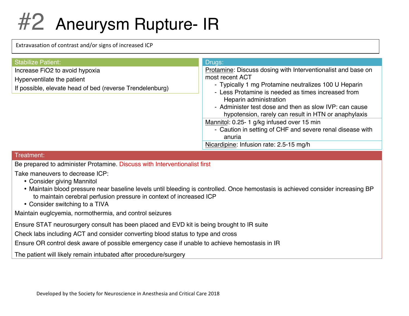# #2 Aneurysm Rupture- IR

Extravasation of contrast and/or signs of increased ICP

| <b>Stabilize Patient:</b>                                | Drugs:                                                                                                     |
|----------------------------------------------------------|------------------------------------------------------------------------------------------------------------|
| Increase FiO2 to avoid hypoxia                           | Protamine: Discuss dosing with Interventionalist and base on                                               |
| Hyperventilate the patient                               | most recent ACT                                                                                            |
| If possible, elevate head of bed (reverse Trendelenburg) | - Typically 1 mg Protamine neutralizes 100 U Heparin<br>- Less Protamine is needed as times increased from |
|                                                          | Heparin administration                                                                                     |
|                                                          | - Administer test dose and then as slow IVP: can cause                                                     |
|                                                          | hypotension, rarely can result in HTN or anaphylaxis                                                       |
|                                                          | Mannitol: 0.25-1 g/kg infused over 15 min                                                                  |
|                                                          | - Caution in setting of CHF and severe renal disease with                                                  |
|                                                          | anuria                                                                                                     |
|                                                          | Nicardipine: Infusion rate: 2.5-15 mg/h                                                                    |

#### Treatment:

Be prepared to administer Protamine. Discuss with Interventionalist first

Take maneuvers to decrease ICP:

- Consider giving Mannitol
- Maintain blood pressure near baseline levels until bleeding is controlled. Once hemostasis is achieved consider increasing BP to maintain cerebral perfusion pressure in context of increased ICP
- Consider switching to a TIVA

Maintain euglcyemia, normothermia, and control seizures

Ensure STAT neurosurgery consult has been placed and EVD kit is being brought to IR suite

Check labs including ACT and consider converting blood status to type and cross

Ensure OR control desk aware of possible emergency case if unable to achieve hemostasis in IR

The patient will likely remain intubated after procedure/surgery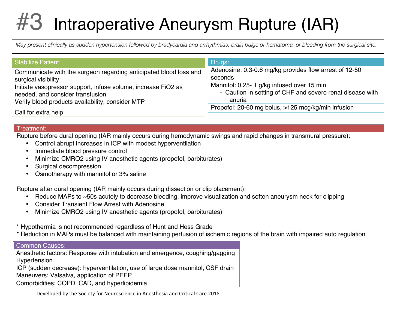# Intraoperative Aneurysm Rupture (IAR)

*May present clinically as sudden hypertension followed by bradycardia and arrhythmias, brain bulge or hematoma, or bleeding from the surgical site.*

| Stabilize Patient:                                                | Drugs:                                                    |
|-------------------------------------------------------------------|-----------------------------------------------------------|
| Communicate with the surgeon regarding anticipated blood loss and | Adenosine: 0.3-0.6 mg/kg provides flow arrest of 12-50    |
| surgical visibility                                               | seconds                                                   |
| Initiate vasopressor support, infuse volume, increase FiO2 as     | Mannitol: 0.25- 1 g/kg infused over 15 min                |
| needed, and consider transfusion                                  | - Caution in setting of CHF and severe renal disease with |
| Verify blood products availability, consider MTP                  | anuria                                                    |
| Call for extra help                                               | Propofol: 20-60 mg bolus, >125 mcg/kg/min infusion        |

#### Treatment:

Rupture before dural opening (IAR mainly occurs during hemodynamic swings and rapid changes in transmural pressure):

- Control abrupt increases in ICP with modest hyperventilation
- Immediate blood pressure control
- Minimize CMRO2 using IV anesthetic agents (propofol, barbiturates)
- Surgical decompression
- Osmotherapy with mannitol or 3% saline

Rupture after dural opening (IAR mainly occurs during dissection or clip placement):

- Reduce MAPs to ~50s acutely to decrease bleeding, improve visualization and soften aneurysm neck for clipping
- Consider Transient Flow Arrest with Adenosine
- Minimize CMRO2 using IV anesthetic agents (propofol, barbiturates)

\* Hypothermia is not recommended regardless of Hunt and Hess Grade

Reduction in MAPs must be balanced with maintaining perfusion of ischemic regions of the brain with impaired auto regulation

#### Common Causes:

Anesthetic factors: Response with intubation and emergence, coughing/gagging Hypertension ICP (sudden decrease): hyperventilation, use of large dose mannitol, CSF drain Maneuvers: Valsalva, application of PEEP Comorbidities: COPD, CAD, and hyperlipidemia

Developed by the Society for Neuroscience in Anesthesia and Critical Care 2018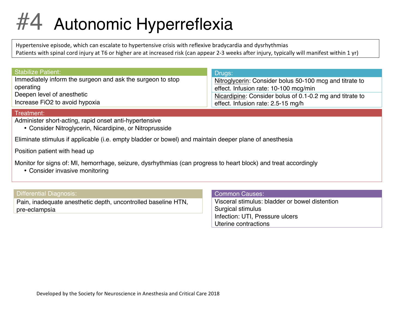### #4 Autonomic Hyperreflexia

Hypertensive episode, which can escalate to hypertensive crisis with reflexive bradycardia and dysrhythmias Patients with spinal cord injury at T6 or higher are at increased risk (can appear 2-3 weeks after injury, typically will manifest within 1 yr)

| <b>Stabilize Patient:</b>                                               | Drugs:                                                                                           |
|-------------------------------------------------------------------------|--------------------------------------------------------------------------------------------------|
| Immediately inform the surgeon and ask the surgeon to stop<br>operating | Nitroglycerin: Consider bolus 50-100 mcg and titrate to<br>effect. Infusion rate: 10-100 mcg/min |
| Deepen level of anesthetic                                              | Nicardipine: Consider bolus of 0.1-0.2 mg and titrate to                                         |
| Increase FiO2 to avoid hypoxia                                          | effect. Infusion rate: 2.5-15 mg/h                                                               |

#### Treatment:

Administer short-acting, rapid onset anti-hypertensive

• Consider Nitroglycerin, Nicardipine, or Nitroprusside

Eliminate stimulus if applicable (i.e. empty bladder or bowel) and maintain deeper plane of anesthesia

Position patient with head up

Monitor for signs of: MI, hemorrhage, seizure, dysrhythmias (can progress to heart block) and treat accordingly

• Consider invasive monitoring

Differential Diagnosis:

Pain, inadequate anesthetic depth, uncontrolled baseline HTN, pre-eclampsia

#### Common Causes:

Visceral stimulus: bladder or bowel distention Surgical stimulus Infection: UTI, Pressure ulcers Uterine contractions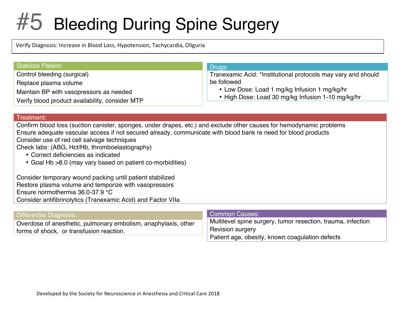### #5 Bleeding During Spine Surgery

Verify Diagnosis: Increase in Blood Loss, Hypotension, Tachycardia, Oliguria

| <b>Stabilize Patient:</b>                                        | Drugs:                                                                       |
|------------------------------------------------------------------|------------------------------------------------------------------------------|
| Control bleeding (surgical)                                      | Tranexamic Acid: *Institutional protocols may vary and should<br>be followed |
| Replace plasma volume<br>Maintain BP with vasopressors as needed | • Low Dose: Load 1 mg/kg Infusion 1 mg/kg/hr                                 |
| Verify blood product availability, consider MTP                  | • High Dose: Load 30 mg/kg Infusion 1-10 mg/kg/hr                            |

#### Treatment:

Confirm blood loss (suction canister, sponges, under drapes, etc.) and exclude other causes for hemodynamic problems Ensure adequate vascular access if not secured already, communicate with blood bank re need for blood products Consider use of red cell salvage techniques

Check labs: (ABG, Hct/Hb, thromboelastography)

- Correct deficiencies as indicated
- Goal Hb >8.0 (may vary based on patient co-morbidities)

Consider temporary wound packing until patient stabilized Restore plasma volume and temporize with vasopressors Ensure normothermia 36.0-37.9 °C Consider antifibrinolytics (Tranexamic Acid) and Factor VIIa

| Differential Diagnosis:                                                                                    | Common Causes:                                                                          |
|------------------------------------------------------------------------------------------------------------|-----------------------------------------------------------------------------------------|
| Overdose of anesthetic, pulmonary embolism, anaphylaxis, other<br>forms of shock, or transfusion reaction. | Multilevel spine surgery, tumor resection, trauma, infection<br><b>Revision surgery</b> |
|                                                                                                            | Patient age, obesity, known coagulation defects                                         |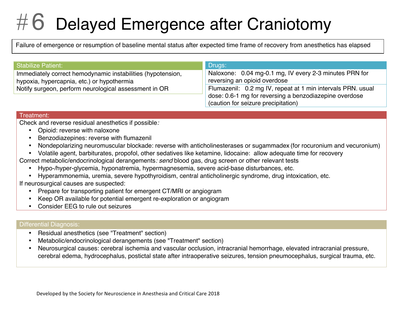### $\#$  6 Delayed Emergence after Craniotomy

Failure of emergence or resumption of baseline mental status after expected time frame of recovery from anesthetics has elapsed

| ⊦ Stabilize Patient: <sup>।</sup>                                                                         | Drugs:                                                                                        |
|-----------------------------------------------------------------------------------------------------------|-----------------------------------------------------------------------------------------------|
| Immediately correct hemodynamic instabilities (hypotension,<br>hypoxia, hypercapnia, etc.) or hypothermia | Naloxone: 0.04 mg-0.1 mg, IV every 2-3 minutes PRN for<br>reversing an opioid overdose        |
| Notify surgeon, perform neurological assessment in OR                                                     | Flumazenil: 0.2 mg IV, repeat at 1 min intervals PRN. usual                                   |
|                                                                                                           | dose: 0.6-1 mg for reversing a benzodiazepine overdose<br>(caution for seizure precipitation) |

#### Treatment:

Check and reverse residual anesthetics if possible:

- Opioid: reverse with naloxone
- Benzodiazepines: reverse with flumazenil
- Nondepolarizing neuromuscular blockade: reverse with anticholinesterases or sugammadex (for rocuronium and vecuronium)
- Volatile agent, barbiturates, propofol, other sedatives like ketamine, lidocaine: allow adequate time for recovery
- Correct metabolic/endocrinological derangements: send blood gas, drug screen or other relevant tests
	- Hypo-/hyper-glycemia, hyponatremia, hypermagnesemia, severe acid-base disturbances, etc.
	- Hyperammonemia, uremia, severe hypothyroidism, central anticholinergic syndrome, drug intoxication, etc.

If neurosurgical causes are suspected:

- Prepare for transporting patient for emergent CT/MRI or angiogram
- Keep OR available for potential emergent re-exploration or angiogram
- Consider EEG to rule out seizures

#### Differential Diagnosis:

- Residual anesthetics (see "Treatment" section)
- Metabolic/endocrinological derangements (see "Treatment" section)
- Neurosurgical causes: cerebral ischemia and vascular occlusion, intracranial hemorrhage, elevated intracranial pressure, cerebral edema, hydrocephalus, postictal state after intraoperative seizures, tension pneumocephalus, surgical trauma, etc.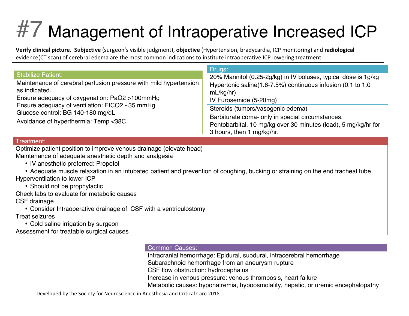# #7 Management of Intraoperative Increased ICP

**Verify clinical picture. Subjective** (surgeon's visible judgment), **objective** (Hypertension, bradycardia, ICP monitoring) and **radiological** evidence(CT scan) of cerebral edema are the most common indications to institute intraoperative ICP lowering treatment

|                                                                                                                                                                                                                                                                    | Drugs:                                                                   |
|--------------------------------------------------------------------------------------------------------------------------------------------------------------------------------------------------------------------------------------------------------------------|--------------------------------------------------------------------------|
| <b>Stabilize Patient:</b>                                                                                                                                                                                                                                          | 20% Mannitol (0.25-2g/kg) in IV boluses, typical dose is 1g/kg           |
| Maintenance of cerebral perfusion pressure with mild hypertension<br>as indicated.<br>Ensure adequacy of oxygenation: PaO2 >100mmHg<br>Ensure adequacy of ventilation: EtCO2 ~35 mmHg<br>Glucose control: BG 140-180 mg/dL<br>Avoidance of hyperthermia: Temp <38C | Hypertonic saline(1.6-7.5%) continuous infusion (0.1 to 1.0<br>mL/kg/hr) |
|                                                                                                                                                                                                                                                                    | IV Furosemide (5-20mg)                                                   |
|                                                                                                                                                                                                                                                                    | Steroids (tumors/vasogenic edema)                                        |
|                                                                                                                                                                                                                                                                    | Barbiturate coma- only in special circumstances.                         |
|                                                                                                                                                                                                                                                                    | Pentobarbital, 10 mg/kg over 30 minutes (load), 5 mg/kg/hr for           |
|                                                                                                                                                                                                                                                                    | 3 hours, then 1 mg/kg/hr.                                                |

#### Treatment:

Optimize patient position to improve venous drainage (elevate head)

Maintenance of adequate anesthetic depth and analgesia

- IV anesthetic preferred: Propofol
- Adequate muscle relaxation in an intubated patient and prevention of coughing, bucking or straining on the end tracheal tube Hyperventilation to lower ICP
	- Should not be prophylactic

Check labs to evaluate for metabolic causes

CSF drainage

• Consider Intraoperative drainage of CSF with a ventriculostomy

Treat seizures

• Cold saline irrigation by surgeon

Assessment for treatable surgical causes

#### Common Causes:

Intracranial hemorrhage: Epidural, subdural, intracerebral hemorrhage

Subarachnoid hemorrhage from an aneurysm rupture

CSF flow obstruction: hydrocephalus

Increase in venous pressure: venous thrombosis, heart failure

Metabolic causes: hyponatremia, hypoosmolality, hepatic, or uremic encephalopathy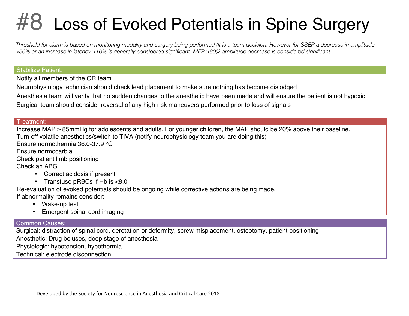### **3 Loss of Evoked Potentials in Spine Surgery**

*Threshold for alarm is based on monitoring modality and surgery being performed (It is a team decision) However for SSEP a decrease in amplitude >50% or an increase in latency >10% is generally considered significant. MEP >80% amplitude decrease is considered significant.*

#### Stabilize Patient:

Notify all members of the OR team

Neurophysiology technician should check lead placement to make sure nothing has become dislodged

Anesthesia team will verify that no sudden changes to the anesthetic have been made and will ensure the patient is not hypoxic

Surgical team should consider reversal of any high-risk maneuvers performed prior to loss of signals

#### Treatment:

Increase MAP ≥ 85mmHg for adolescents and adults. For younger children, the MAP should be 20% above their baseline. Turn off volatile anesthetics/switch to TIVA (notify neurophysiology team you are doing this)

Ensure normothermia 36.0-37.9 °C

Ensure normocarbia

Check patient limb positioning

Check an ABG

- Correct acidosis if present
- Transfuse pRBCs if Hb is <8.0

Re-evaluation of evoked potentials should be ongoing while corrective actions are being made. If abnormality remains consider:

- Wake-up test
- Emergent spinal cord imaging

#### Common Causes:

Surgical: distraction of spinal cord, derotation or deformity, screw misplacement, osteotomy, patient positioning Anesthetic: Drug boluses, deep stage of anesthesia

Physiologic: hypotension, hypothermia

Technical: electrode disconnection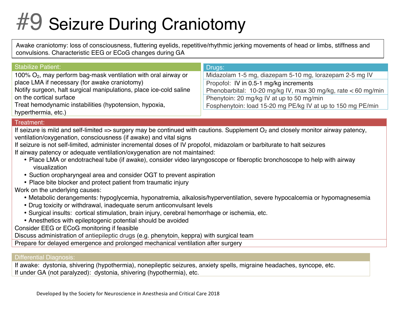# #9 Seizure During Craniotomy

Awake craniotomy: loss of consciousness, fluttering eyelids, repetitive/rhythmic jerking movements of head or limbs, stiffness and convulsions. Characteristic EEG or ECoG changes during GA

| <b>Stabilize Patient:</b>                                          | Drugs:                                                        |
|--------------------------------------------------------------------|---------------------------------------------------------------|
| 100% $O_2$ , may perform bag-mask ventilation with oral airway or  | Midazolam 1-5 mg, diazepam 5-10 mg, lorazepam 2-5 mg IV       |
| place LMA if necessary (for awake craniotomy)                      | Propofol: IV in 0.5-1 mg/kg increments                        |
| Notify surgeon, halt surgical manipulations, place ice-cold saline | Phenobarbital: 10-20 mg/kg IV, max 30 mg/kg, rate < 60 mg/min |
| on the cortical surface                                            | Phenytoin: 20 mg/kg IV at up to 50 mg/min                     |
| Treat hemodynamic instabilities (hypotension, hypoxia,             | Fosphenytoin: load 15-20 mg PE/kg IV at up to 150 mg PE/min   |
| hyperthermia, etc.)                                                |                                                               |

#### Treatment:

If seizure is mild and self-limited  $\Rightarrow$  surgery may be continued with cautions. Supplement  $O_2$  and closely monitor airway patency, ventilation/oxygenation, consciousness (if awake) and vital signs

If seizure is not self-limited, administer incremental doses of IV propofol, midazolam or barbiturate to halt seizures If airway patency or adequate ventilation/oxygenation are not maintained:

- Place LMA or endotracheal tube (if awake), consider video laryngoscope or fiberoptic bronchoscope to help with airway visualization
- Suction oropharyngeal area and consider OGT to prevent aspiration
- Place bite blocker and protect patient from traumatic injury

Work on the underlying causes:

- Metabolic derangements: hypoglycemia, hyponatremia, alkalosis/hyperventilation, severe hypocalcemia or hypomagnesemia
- Drug toxicity or withdrawal, inadequate serum anticonvulsant levels
- Surgical insults: cortical stimulation, brain injury, cerebral hemorrhage or ischemia, etc.
- Anesthetics with epileptogenic potential should be avoided

Consider EEG or ECoG monitoring if feasible

Discuss administration of antiepileptic drugs (e.g. phenytoin, keppra) with surgical team

Prepare for delayed emergence and prolonged mechanical ventilation after surgery

#### Differential Diagnosis:

If awake: dystonia, shivering (hypothermia), nonepileptic seizures, anxiety spells, migraine headaches, syncope, etc. If under GA (not paralyzed): dystonia, shivering (hypothermia), etc.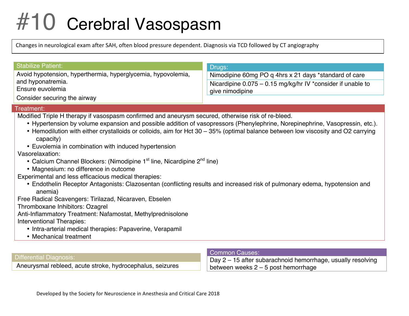# #10 Cerebral Vasospasm

Changes in neurological exam after SAH, often blood pressure dependent. Diagnosis via TCD followed by CT angiography

| Stabilize Patient:                                           | Drugs:                                                        |
|--------------------------------------------------------------|---------------------------------------------------------------|
| Avoid hypotension, hyperthermia, hyperglycemia, hypovolemia, | Nimodipine 60mg PO q 4hrs x 21 days *standard of care         |
| and hyponatremia.                                            | Nicardipine $0.075 - 0.15$ mg/kg/hr IV *consider if unable to |
| Ensure euvolemia                                             | give nimodipine                                               |
| Consider securing the airway                                 |                                                               |

#### Treatment:

Modified Triple H therapy if vasospasm confirmed and aneurysm secured, otherwise risk of re-bleed.

- Hypertension by volume expansion and possible addition of vasopressors (Phenylephrine, Norepinephrine, Vasopressin, etc.).
- Hemodilution with either crystalloids or colloids, aim for Hct 30 35% (optimal balance between low viscosity and O2 carrying capacity)
- Euvolemia in combination with induced hypertension

Vasorelaxation:

- Calcium Channel Blockers: (Nimodipine  $1<sup>st</sup>$  line, Nicardipine  $2<sup>nd</sup>$  line)
- Magnesium: no difference in outcome

Experimental and less efficacious medical therapies:

• Endothelin Receptor Antagonists: Clazosentan (conflicting results and increased risk of pulmonary edema, hypotension and anemia)

Free Radical Scavengers: Tirilazad, Nicaraven, Ebselen

Thromboxane Inhibitors: Ozagrel

Anti-Inflammatory Treatment: Nafamostat, Methylprednisolone Interventional Therapies:

- Intra-arterial medical therapies: Papaverine, Verapamil
- Mechanical treatment

#### Differential Diagnosis:

Aneurysmal rebleed, acute stroke, hydrocephalus, seizures

#### Common Causes:

Day 2 – 15 after subarachnoid hemorrhage, usually resolving between weeks 2 – 5 post hemorrhage